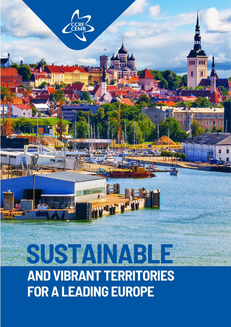

# **AND VIBRANT TERRITORIES FOR A LEADING EUROPE**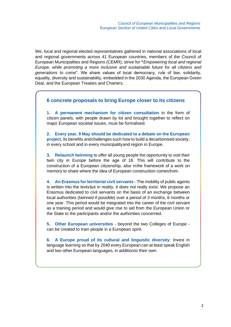We, local and regional elected representatives gathered in national associations of local and regional governments across 41 European countries, members of the Council of European Municipalities and Regions (CEMR), strive for **"***Empowering local and regional Europe, while promoting a more inclusive and sustainable future for all citizens and generations to come*". We share values of local democracy, rule of law, solidarity, equality, diversity and sustainability, embedded in the 2030 Agenda, the European Green Deal, and the European Treaties and Charters.

#### **6 concrete proposals to bring Europe closer to its citizens**

**1. A permanent mechanism for citizen consultation** in the form of citizen panels, with people drawn by lot and brought together to reflect on major European societal issues, must be formalised.

**2. Every year, 9 May should be dedicated to a debate on the European project**, its benefits andchallenges such how to build a decarbonised society, in every school and in every municipalityand region in Europe.

**3. Relaunch twinning** to offer all young people the opportunity to visit their twin city in Europe before the age of 18. This will contribute to the construction of a European citizenship, also inthe framework of a work on memory to share where the idea of European construction comesfrom.

**4. An Erasmus for territorial civil servants** - The mobility of public agents is written into the textsbut in reality, it does not really exist. We propose an Erasmus dedicated to civil servants on the basis of an exchange between local authorities (twinned if possible) over a period of 3 months, 6 months or one year. This period would be integrated into the career of the civil servant as a training period and would give rise to aid from the European Union or the State to the participants and/or the authorities concerned.

**5. Other European universities** - beyond the two Colleges of Europe can be created to train people in a European spirit.

**6. A Europe proud of its cultural and linguistic diversity**: Invest in language learning so that by 2040 every European can at least speak English and two other European languages, in additionto their own.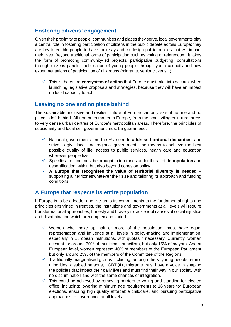# **Fostering citizens' engagement**

Given their proximity to people, communities and places they serve, local governments play a central role in fostering participation of citizens in the public debate across Europe: they are key to enable people to have their say and co-design public policies that will impact their lives. Beyond traditional forms of participation such as voting or referendum, it takes the form of promoting community-led projects, participative budgeting, consultations through citizens panels, mobilisation of young people through youth councils and new experimentations of participation of all groups (migrants, senior citizens...).

✓ This is the entire **ecosystem of action** that Europe must take into account when launching legislative proposals and strategies, because they will have an impact on local capacity to act.

#### **Leaving no one and no place behind**

The sustainable, inclusive and resilient future of Europe can only exist if no one and no place is left behind. All territories matter in Europe, from the small villages in rural areas to very dense urban centres of Europe's metropolitan areas. Therefore, the principles of subsidiarity and local self-government must be guaranteed.

- ✓ National governments and the EU need to **address territorial disparities**, and strive to give local and regional governments the means to achieve the best possible quality of life, access to public services, health care and education wherever people live.
- ✓ Specific attention must be brought to territories under threat of **depopulation** and desertification, within but also beyond cohesion policy
- ✓ **A Europe that recognises the value of territorial diversity is needed** supporting all territorieswhatever their size and tailoring its approach and funding conditions

# **A Europe that respects its entire population**

If Europe is to be a leader and live up to its commitments to the fundamental rights and principles enshrined in treaties, the institutions and governments at all levels will require transformational approaches, honesty and bravery to tackle root causes of social injustice and discrimination which arecomplex and varied.

- $\checkmark$  Women who make up half or more of the population—must have equal representation and influence at all levels in policy-making and implementation, especially in European institutions, with quotas if necessary. Currently, women account for around 30% of municipal councillors, but only 15% of mayors. And at European level, women represent 40% of members of the European Parliament but only around 25% of the members of the Committee of the Regions.
- $\checkmark$  Traditionally marginalised groups including, among others: young people, ethnic minorities, disabled persons, LGBTQI+, migrants must have a voice in shaping the policies that impact their daily lives and must find their way in our society with no discrimination and with the same chances of integration.
- $\checkmark$  This could be achieved by removing barriers to voting and standing for elected office, including: lowering minimum age requirements to 16 years for European elections, ensuring high quality affordable childcare, and pursuing participative approaches to governance at all levels.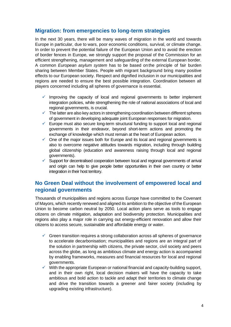# **Migration: from emergencies to long-term strategies**

In the next 30 years, there will be many waves of migration in the world and towards Europe in particular, due to wars, poor economic conditions, survival, or climate change. In order to prevent the potential failure of the European Union and to avoid the erection of border fences in Europe, we strongly support the proposal of the Commission for an efficient strengthening, management and safeguarding of the external European border. A common *European asylum system* has to be based on the principle of fair burden sharing between Member States. People with migrant background bring many positive effects to our European society. Respect and dignified inclusion in our municipalities and regions are needed to ensure the best possible integration. Coordination between all players concerned including all spheres of governance is essential.

- $\checkmark$  Improving the capacity of local and regional governments to better implement integration policies, while strengthening the role of national associations of local and regional governments, is crucial.
- $\checkmark$  The latter are also key actors in strengthening coordination between different spheres of government in developing adequate joint European responses for migration.
- $\checkmark$  Europe must also secure long-term structural funding to support local and regional governments in their endeavor, beyond short-term actions and promoting the exchange of knowledge which must remain at the heart of European action.
- $\checkmark$  One of the major issues both for Europe and its local and regional governments is also to overcome negative attitudes towards migration, including through building global citizenship (education and awareness raising through local and regional governments).
- ✓ Support for decentralised cooperation between local and regional governments of arrival and origin can help to give people better opportunities in their own country or better integration in their host territory.

#### **No Green Deal without the involvement of empowered local and regional governments**

Thousands of municipalities and regions across Europe have committed to the Covenant of Mayors, which recently renewed and aligned its ambition to the objective of the European Union to become carbon neutral by 2050. Local action plans serve as tools to engage citizens on climate mitigation, adaptation and biodiversity protection. Municipalities and regions also play a major role in carrying out energy-efficient renovation and allow their citizens to access secure, sustainable and affordable energy or water.

- $\checkmark$  Green transition requires a strong collaboration across all spheres of governance to accelerate decarbonisation; municipalities and regions are an integral part of the solution in partnership with citizens, the private sector, civil society and peers across the globe, as long as ambitious climate and energy action is accompanied by enabling frameworks, measures and financial resources for local and regional governments.
- ✓ With the appropriate European or national financial and capacity-building support, and in their own right, local decision makers will have the capacity to take ambitious and bold action to tackle and adapt their territories to climate change and drive the transition towards a greener and fairer society (including by upgrading existing infrastructure).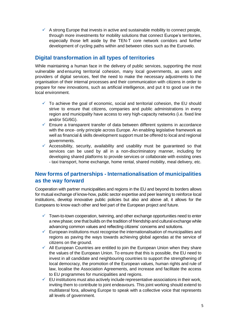$\checkmark$  A strong Europe that invests in active and sustainable mobility to connect people, through more investments for mobility solutions that connect Europe's territories, especially those left aside by the TEN-T core network corridors and further development of cycling paths within and between cities such as the Eurovelo.

# **Digital transformation in all types of territories**

While maintaining a human face in the delivery of public services, supporting the most vulnerable and ensuring territorial cohesion, many local governments, as users and providers of digital services, feel the need to make the necessary adjustments to the organisation of their internal processes and their communication with citizens in order to prepare for new innovations, such as artificial intelligence, and put it to good use in the local environment.

- To achieve the goal of economic, social and territorial cohesion, the EU should strive to ensure that citizens, companies and public administrations in every region and municipality have access to very high-capacity networks (i.e. fixed line and/or 5G/6G).
- $\checkmark$  Ensure a transparent transfer of data between different systems in accordance with the once- only principle across Europe. An enabling legislative framework as well as financial & skills development support must be offered to local and regional governments.
- $\checkmark$  Accessibility, security, availability and usability must be guaranteed so that services can be used by all in a non-discriminatory manner, including for developing shared platforms to provide services or collaborate with existing ones - taxi transport, home exchange, home rental, shared mobility, meal delivery, etc.

# **New forms of partnerships - Internationalisation of municipalities as the way forward**

Cooperation with partner municipalities and regions in the EU and beyond its borders allows for mutual exchange of know-how, public sector expertise and peer learning to reinforce local institutions, develop innovative public policies but also and above all, it allows for the Europeans to know each other and feel part of the European project and future.

- $\checkmark$  Town-to-town cooperation, twinning, and other exchange opportunities need to enter a new phase; one that builds on the tradition of friendship and cultural exchange while advancing common values and reflecting citizens' concerns and solutions.
- $\checkmark$  European institutions must recognise the internationalisation of municipalities and regions as paving the ways towards achieving global agendas at the service of citizens on the ground.
- $\checkmark$  All European Countries are entitled to join the European Union when they share the values of the European Union. To ensure that this is possible, the EU need to invest in all candidate and neighbouring countries to support the strengthening of local democracy, the promotion of the European values, human rights and rule of law, localise the Association Agreements, and increase and facilitate the access to EU programmes for municipalities and regions.
- $\checkmark$  EU institutions must also actively include representative associations in their work, inviting them to contribute to joint endeavours. This joint working should extend to multilateral fora, allowing Europe to speak with a collective voice that represents all levels of government.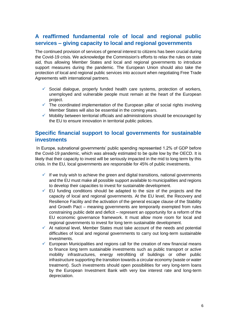# **A reaffirmed fundamental role of local and regional public services – giving capacity to local and regional governments**

The continued provision of services of general interest to citizens has been crucial during the Covid-19 crisis. We acknowledge the Commission's efforts to relax the rules on state aid, thus allowing Member States and local and regional governments to introduce support measures during the pandemic. The European Union should also take the protection of local and regional public services into account when negotiating Free Trade Agreements with international partners.

- $\checkmark$  Social dialogue, properly funded health care systems, protection of workers, unemployed and vulnerable people must remain at the heart of the European project.
- $\checkmark$  The coordinated implementation of the European pillar of social rights involving Member States will also be essential in the coming years.
- $\checkmark$  Mobility between territorial officials and administrations should be encouraged by the EU to ensure innovation in territorial public policies.

#### **Specific financial support to local governments for sustainable investments**

In Europe, subnational governments' public spending represented 1.2% of GDP before the Covid-19 pandemic, which was already estimated to be quite low by the OECD. It is likely that their capacity to invest will be seriously impacted in the mid to long term by this crisis. In the EU, local governments are responsible for 45% of public investments.

- $\checkmark$  If we truly wish to achieve the green and digital transitions, national governments and the EU must make all possible support available to municipalities and regions to develop their capacities to invest for sustainable development.
- $\checkmark$  EU funding conditions should be adapted to the size of the projects and the capacity of local and regional governments. At the EU level, the Recovery and Resilience Facility and the activation of the general escape clause of the Stability and Growth Pact – meaning governments are temporarily exempted from rules constraining public debt and deficit – represent an opportunity for a reform of the EU economic governance framework. It must allow more room for local and regional governments to invest for long term sustainable development.
- $\checkmark$  At national level, Member States must take account of the needs and potential difficulties of local and regional governments to carry out long-term sustainable investments.
- $\checkmark$  European Municipalities and regions call for the creation of new financial means to finance long term sustainable investments such as public transport or active mobility infrastructures, energy retrofitting of buildings or other public infrastructure supporting the transition towards a circular economy (waste or water treatment). Such investments should open possibilities for very long-term loans by the European Investment Bank with very low interest rate and long-term depreciation.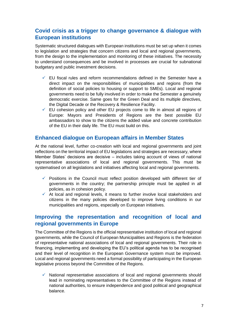# **Covid crisis as a trigger to change governance & dialogue with European institutions**

Systematic structured dialogues with European institutions must be set up when it comes to legislation and strategies that concern citizens and local and regional governments, from the design to the implementation and monitoring of these initiatives. The necessity to understand consequences and be involved in processes are crucial for subnational budgetary and public investment decisions.

- ✓ EU fiscal rules and reform recommendations defined in the Semester have a direct impact on the responsibilities of municipalities and regions (from the definition of social policies to housing or support to SMEs). Local and regional governments need to be fully involved in order to make the Semester a genuinely democratic exercise. Same goes for the Green Deal and its multiple directives, the Digital Decade or the Recovery & Resilience Facility.
- $\checkmark$  EU cohesion policy and other EU projects come to life in almost all regions of Europe: Mayors and Presidents of Regions are the best possible EU ambassadors to show to the citizens the added value and concrete contribution of the EU in their daily life. The EU must build on this.

#### **Enhanced dialogue on European affairs in Member States**

At the national level, further co-creation with local and regional governments and joint reflections on the territorial impact of EU legislations and strategies are necessary, where Member States' decisions are decisive – includes taking account of views of national representative associations of local and regional governments. This must be systematised on all legislations and initiatives affecting local and regional governments.

- $\checkmark$  Positions in the Council must reflect position developed with different tier of governments in the country; the partnership principle must be applied in all policies, as in cohesion policy.
- ✓ At local and regional levels, it means to further involve local stakeholders and citizens in the many policies developed to improve living conditions in our municipalities and regions, especially on European initiatives.

#### **Improving the representation and recognition of local and regional governments in Europe**

The Committee of the Regions is the official representative institution of local and regional governments, while the Council of European Municipalities and Regions is the federation of representative national associations of local and regional governments. Their role in financing, implementing and developing the EU's political agenda has to be recognised and their level of recognition in the European Governance system must be improved. Local and regional governments need a formal possibility of participating in the European legislative process beyond the Committee of the Regions.

 $\checkmark$  National representative associations of local and regional governments should lead in nominating representatives to the Committee of the Regions instead of national authorities, to ensure independence and good political and geographical balance.